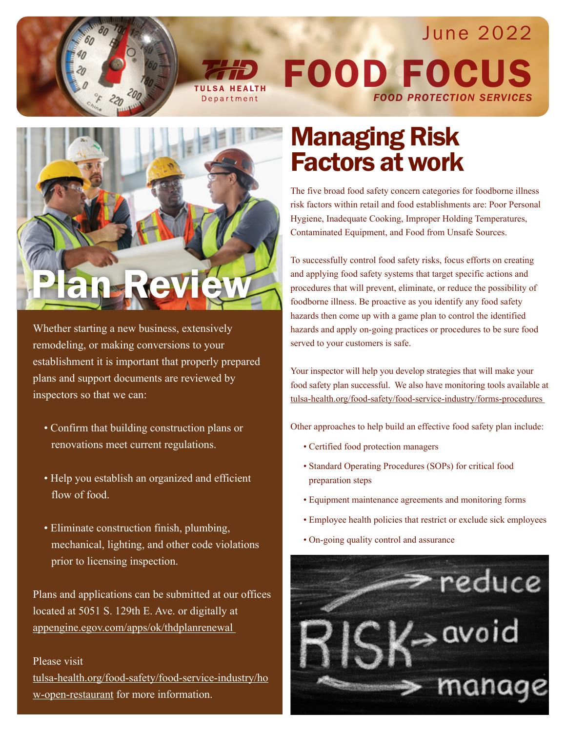

Department



June 2022



Whether starting a new business, extensively remodeling, or making conversions to your establishment it is important that properly prepared plans and support documents are reviewed by inspectors so that we can:

- Confirm that building construction plans or renovations meet current regulations.
- Help you establish an organized and efficient flow of food.
- Eliminate construction finish, plumbing, mechanical, lighting, and other code violations prior to licensing inspection.

Plans and applications can be submitted at our offices located at 5051 S. 129th E. Ave. or digitally at appengine.egov.com/apps/ok/thdplanrenewal

Please visit tulsa-health.org/food-safety/food-service-industry/ho w-open-restaurant for more information.

## Managing Risk Factors at work

The five broad food safety concern categories for foodborne illness risk factors within retail and food establishments are: Poor Personal Hygiene, Inadequate Cooking, Improper Holding Temperatures, Contaminated Equipment, and Food from Unsafe Sources.

To successfully control food safety risks, focus efforts on creating and applying food safety systems that target specific actions and procedures that will prevent, eliminate, or reduce the possibility of foodborne illness. Be proactive as you identify any food safety hazards then come up with a game plan to control the identified hazards and apply on-going practices or procedures to be sure food served to your customers is safe.

Your inspector will help you develop strategies that will make your food safety plan successful. We also have monitoring tools available at tulsa-health.org/food-safety/food-service-industry/forms-procedures

Other approaches to help build an effective food safety plan include:

- Certified food protection managers
- Standard Operating Procedures (SOPs) for critical food preparation steps
- Equipment maintenance agreements and monitoring forms
- Employee health policies that restrict or exclude sick employees
- On-going quality control and assurance